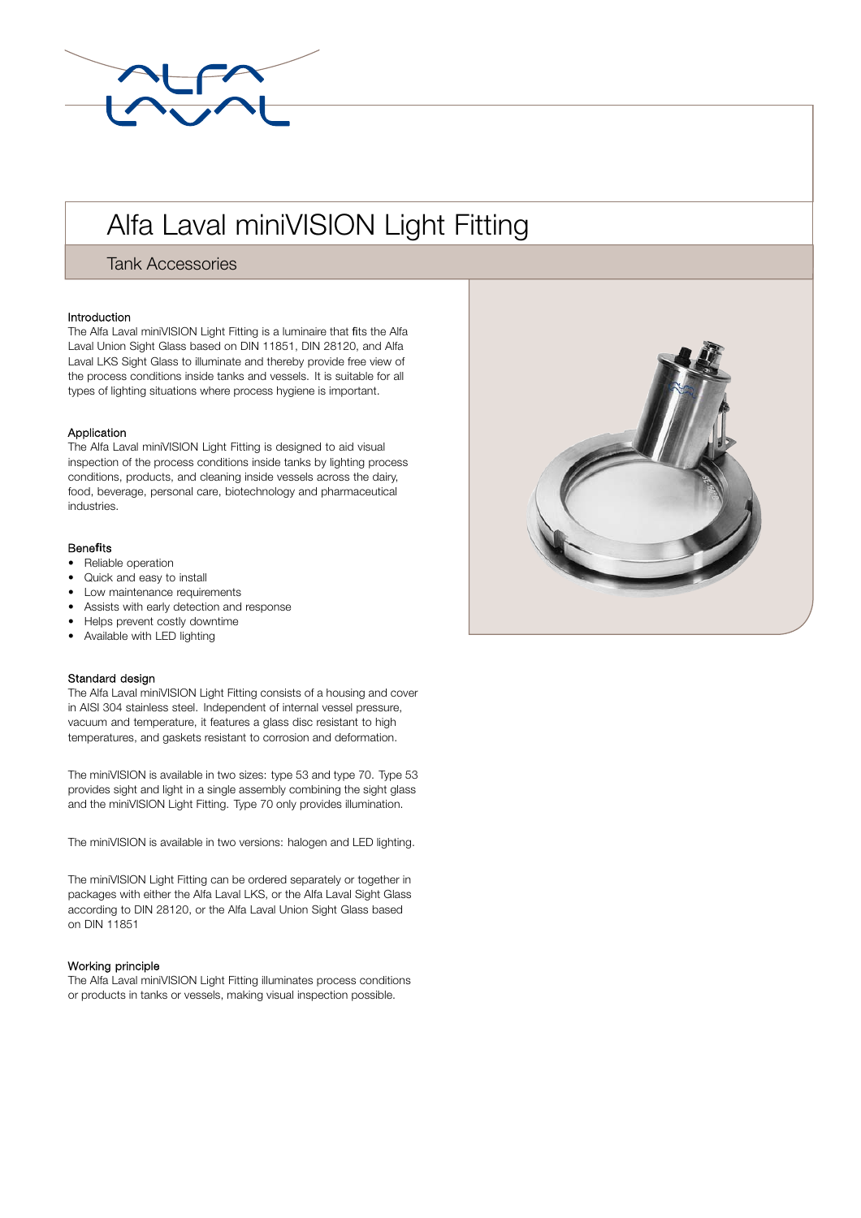

# Alfa Laval miniVISION Light Fitting

Tank Accessories

### Introduction

The Alfa Laval miniVISION Light Fitting is a luminaire that fits the Alfa Laval Union Sight Glass based on DIN 11851, DIN 28120, and Alfa Laval LKS Sight Glass to illuminate and thereby provide free view of the process conditions inside tanks and vessels. It is suitable for all types of lighting situations where process hygiene is important.

### Application

The Alfa Laval miniVISION Light Fitting is designed to aid visual inspection of the process conditions inside tanks by lighting process conditions, products, and cleaning inside vessels across the dairy, food, beverage, personal care, biotechnology and pharmaceutical industries.

## Bene**fi**ts

- Reliable operation
- Quick and easy to install
- Low maintenance requirements
- Assists with early detection and response
- Helps prevent costly downtime
- Available with LED lighting

#### Standard design

The Alfa Laval miniVISION Light Fitting consists of a housing and cover in AISI 304 stainless steel. Independent of internal vessel pressure, vacuum and temperature, it features a glass disc resistant to high temperatures, and gaskets resistant to corrosion and deformation.

The miniVISION is available in two sizes: type 53 and type 70. Type 53 provides sight and light in a single assembly combining the sight glass and the miniVISION Light Fitting. Type 70 only provides illumination.

The miniVISION is available in two versions: halogen and LED lighting.

The miniVISION Light Fitting can be ordered separately or together in packages with either the Alfa Laval LKS, or the Alfa Laval Sight Glass according to DIN 28120, or the Alfa Laval Union Sight Glass based on DIN 11851

#### Working principle

The Alfa Laval miniVISION Light Fitting illuminates process conditions or products in tanks or vessels, making visual inspection possible.

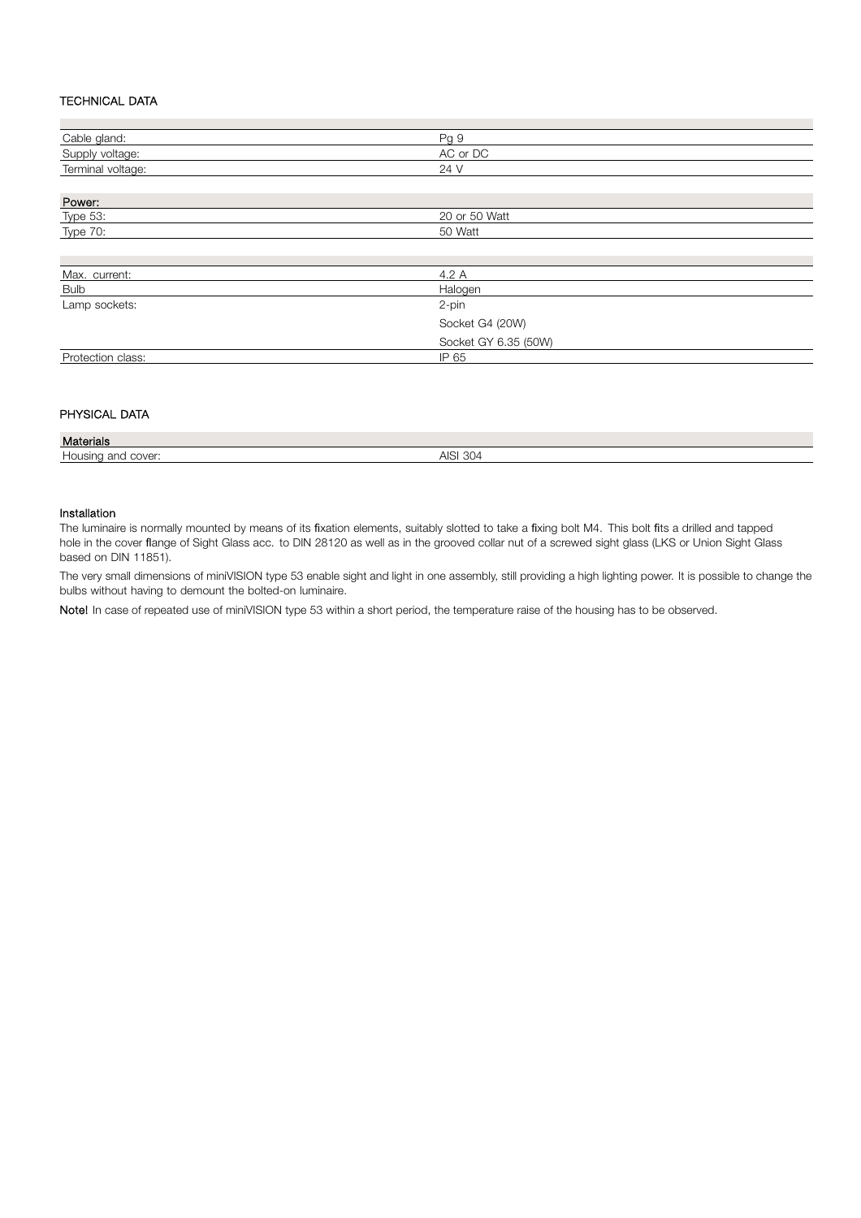## TECHNICAL DATA

| Cable gland:      | Pg 9                 |
|-------------------|----------------------|
| Supply voltage:   | AC or DC             |
| Terminal voltage: | 24 V                 |
|                   |                      |
| Power:            |                      |
| <b>Type 53:</b>   | 20 or 50 Watt        |
| <b>Type 70:</b>   | 50 Watt              |
|                   |                      |
|                   |                      |
| Max. current:     | 4.2 A                |
| <b>Bulb</b>       | Halogen              |
| Lamp sockets:     | 2-pin                |
|                   | Socket G4 (20W)      |
|                   | Socket GY 6.35 (50W) |
| Protection class: | IP 65                |

# PHYSICAL DATA

| Materials                |                                                |
|--------------------------|------------------------------------------------|
| cover<br>'ISIN<br>`<br>a | $\cap$<br>$\triangle$<br>30 IZ<br>ישוי<br>,,,, |
|                          |                                                |

#### Installation

The luminaire is normally mounted by means of its fixation elements, suitably slotted to take a fixing bolt M4. This bolt fits a drilled and tapped hole in the cover flange of Sight Glass acc. to DIN 28120 as well as in the grooved collar nut of a screwed sight glass (LKS or Union Sight Glass based on DIN 11851).

The very small dimensions of miniVISION type 53 enable sight and light in one assembly, still providing a high lighting power. It is possible to change the bulbs without having to demount the bolted-on luminaire.

Note! In case of repeated use of miniVISION type 53 within a short period, the temperature raise of the housing has to be observed.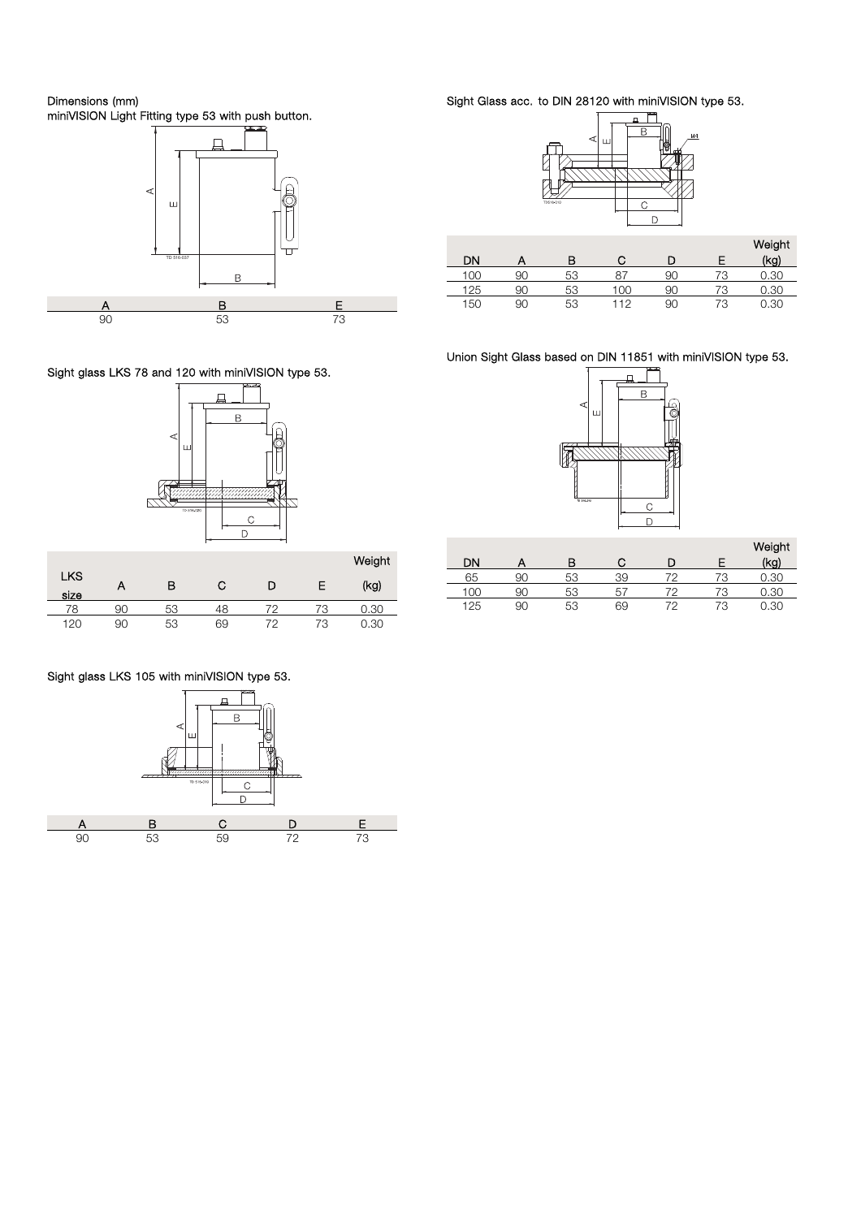Dimensions (mm) miniVISION Light Fitting type 53 with push button.



Sight glass LKS 78 and 120 with miniVISION type 53.



|                    |    |    |    |    |    | Weight |
|--------------------|----|----|----|----|----|--------|
| <b>LKS</b><br>size | Α  | в  | С  | D  | E  | (kg)   |
| 78                 | 90 | 53 | 48 | 79 | 73 | 0.30   |
| 120                | 90 | 53 | 69 | 72 | 73 | 0.30   |

# Sight glass LKS 105 with miniVISION type 53.



Sight Glass acc. to DIN 28120 with miniVISION type 53.



|     |    |    |     |     |    | Weight |
|-----|----|----|-----|-----|----|--------|
| DΝ  |    | в  |     |     |    | (kg)   |
| Inr | 90 | 53 |     | 90  | 70 | .30    |
| 125 | 90 | 53 | ĸ   | 9ſ. | 70 | .30    |
| 150 | 90 | 53 | -12 | 90  | 73 | 0.30   |

Union Sight Glass based on DIN 11851 with miniVISION type 53.



|     |    |    |    |    |    | Weight |
|-----|----|----|----|----|----|--------|
| DΝ  |    | в  |    |    |    | (kg)   |
| 65  | 90 | 53 | 39 |    | 79 | 0.30   |
| loc | 9С | 53 | ь  | 70 | 72 | 0.30   |
| 125 | 90 | 53 | 69 | 72 | 73 | 0.30   |